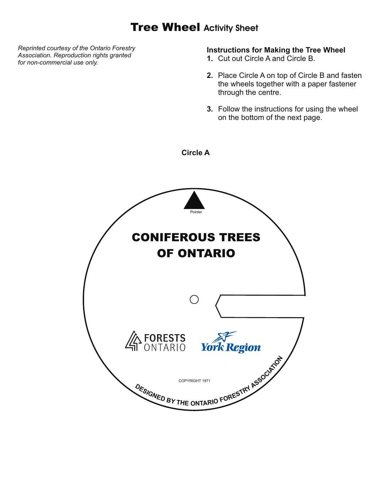## Tree Wheel **Activity Sheet**

**Circle A**

*Reprinted courtesy of the Ontario Forestry Association. Reproduction rights granted for non-commercial use only.*

## **Instructions for Making the Tree Wheel**

- **1.** Cut out Circle A and Circle B.
- **2.** Place Circle A on top of Circle B and fasten the wheels together with a paper fastener through the centre.
- **3.** Follow the instructions for using the wheel on the bottom of the next page.